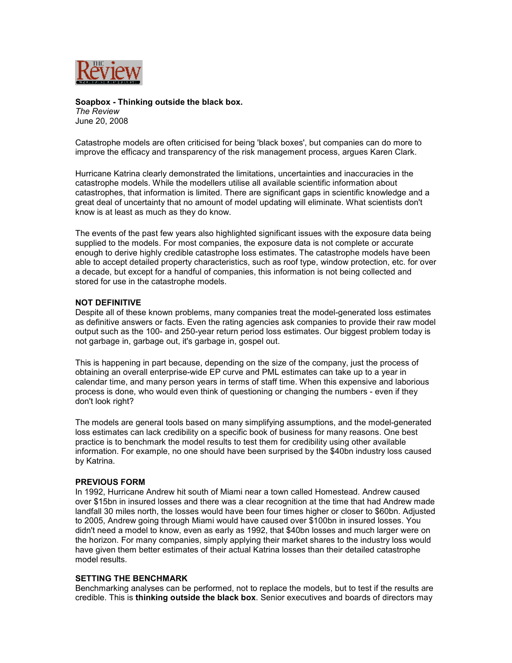

**Soapbox - Thinking outside the black box.** *The Review*  June 20, 2008

Catastrophe models are often criticised for being 'black boxes', but companies can do more to improve the efficacy and transparency of the risk management process, argues Karen Clark.

Hurricane Katrina clearly demonstrated the limitations, uncertainties and inaccuracies in the catastrophe models. While the modellers utilise all available scientific information about catastrophes, that information is limited. There are significant gaps in scientific knowledge and a great deal of uncertainty that no amount of model updating will eliminate. What scientists don't know is at least as much as they do know.

The events of the past few years also highlighted significant issues with the exposure data being supplied to the models. For most companies, the exposure data is not complete or accurate enough to derive highly credible catastrophe loss estimates. The catastrophe models have been able to accept detailed property characteristics, such as roof type, window protection, etc. for over a decade, but except for a handful of companies, this information is not being collected and stored for use in the catastrophe models.

## **NOT DEFINITIVE**

Despite all of these known problems, many companies treat the model-generated loss estimates as definitive answers or facts. Even the rating agencies ask companies to provide their raw model output such as the 100- and 250-year return period loss estimates. Our biggest problem today is not garbage in, garbage out, it's garbage in, gospel out.

This is happening in part because, depending on the size of the company, just the process of obtaining an overall enterprise-wide EP curve and PML estimates can take up to a year in calendar time, and many person years in terms of staff time. When this expensive and laborious process is done, who would even think of questioning or changing the numbers - even if they don't look right?

The models are general tools based on many simplifying assumptions, and the model-generated loss estimates can lack credibility on a specific book of business for many reasons. One best practice is to benchmark the model results to test them for credibility using other available information. For example, no one should have been surprised by the \$40bn industry loss caused by Katrina.

## **PREVIOUS FORM**

In 1992, Hurricane Andrew hit south of Miami near a town called Homestead. Andrew caused over \$15bn in insured losses and there was a clear recognition at the time that had Andrew made landfall 30 miles north, the losses would have been four times higher or closer to \$60bn. Adjusted to 2005, Andrew going through Miami would have caused over \$100bn in insured losses. You didn't need a model to know, even as early as 1992, that \$40bn losses and much larger were on the horizon. For many companies, simply applying their market shares to the industry loss would have given them better estimates of their actual Katrina losses than their detailed catastrophe model results.

## **SETTING THE BENCHMARK**

Benchmarking analyses can be performed, not to replace the models, but to test if the results are credible. This is **thinking outside the black box**. Senior executives and boards of directors may